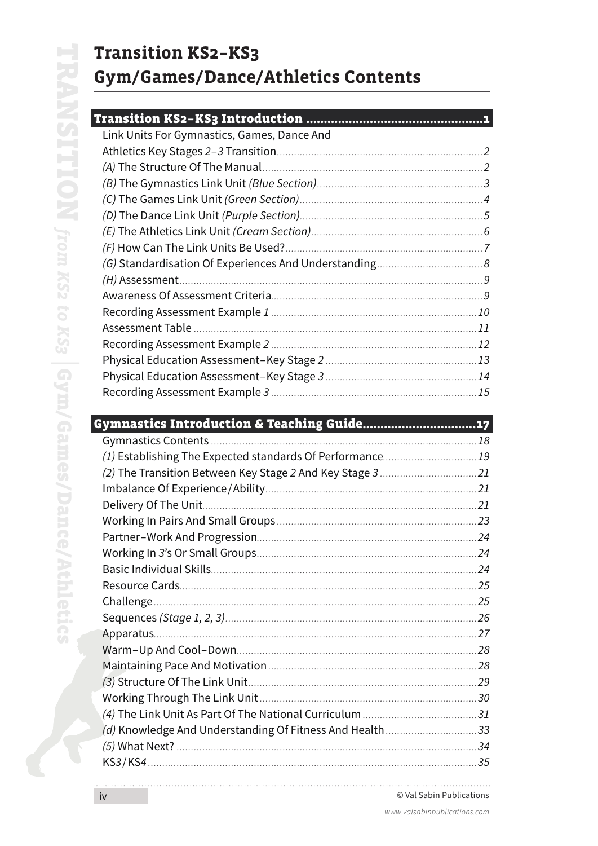# **Transition KS2-KS3** Gym/Games/Dance/Athletics Contents

### **Transition KS2-KS3 Introduction ......**

| Link Units For Gymnastics, Games, Dance And |  |
|---------------------------------------------|--|
|                                             |  |
|                                             |  |
|                                             |  |
|                                             |  |
|                                             |  |
|                                             |  |
|                                             |  |
|                                             |  |
|                                             |  |
|                                             |  |
|                                             |  |
|                                             |  |
|                                             |  |
|                                             |  |
|                                             |  |
|                                             |  |

## Gymnastics Introduction & Teaching Guide...............................

|                                                          | 25   |
|----------------------------------------------------------|------|
| Challenge.                                               | 25   |
|                                                          |      |
|                                                          |      |
|                                                          |      |
|                                                          |      |
|                                                          |      |
|                                                          |      |
|                                                          |      |
| (d) Knowledge And Understanding Of Fitness And Health 33 |      |
|                                                          | .34  |
|                                                          | . 35 |
|                                                          |      |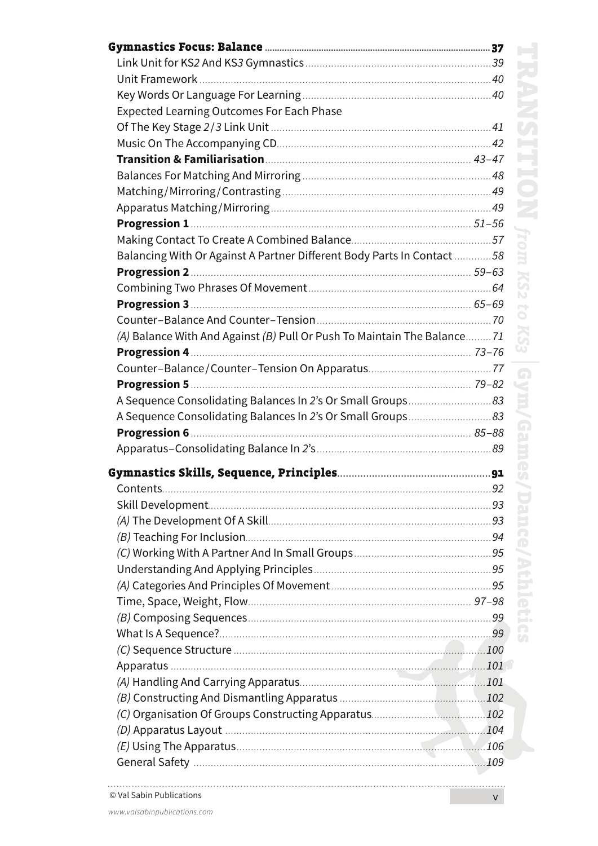| <b>Expected Learning Outcomes For Each Phase</b>                        |  |
|-------------------------------------------------------------------------|--|
|                                                                         |  |
|                                                                         |  |
|                                                                         |  |
|                                                                         |  |
|                                                                         |  |
|                                                                         |  |
|                                                                         |  |
|                                                                         |  |
| Balancing With Or Against A Partner Different Body Parts In Contact 58  |  |
|                                                                         |  |
|                                                                         |  |
|                                                                         |  |
|                                                                         |  |
| (A) Balance With And Against (B) Pull Or Push To Maintain The Balance71 |  |
|                                                                         |  |
|                                                                         |  |
|                                                                         |  |
|                                                                         |  |
|                                                                         |  |
|                                                                         |  |
|                                                                         |  |
|                                                                         |  |
|                                                                         |  |
|                                                                         |  |
|                                                                         |  |
|                                                                         |  |
|                                                                         |  |
|                                                                         |  |
|                                                                         |  |
|                                                                         |  |
|                                                                         |  |
|                                                                         |  |
|                                                                         |  |
|                                                                         |  |
|                                                                         |  |
|                                                                         |  |
|                                                                         |  |
|                                                                         |  |
|                                                                         |  |
|                                                                         |  |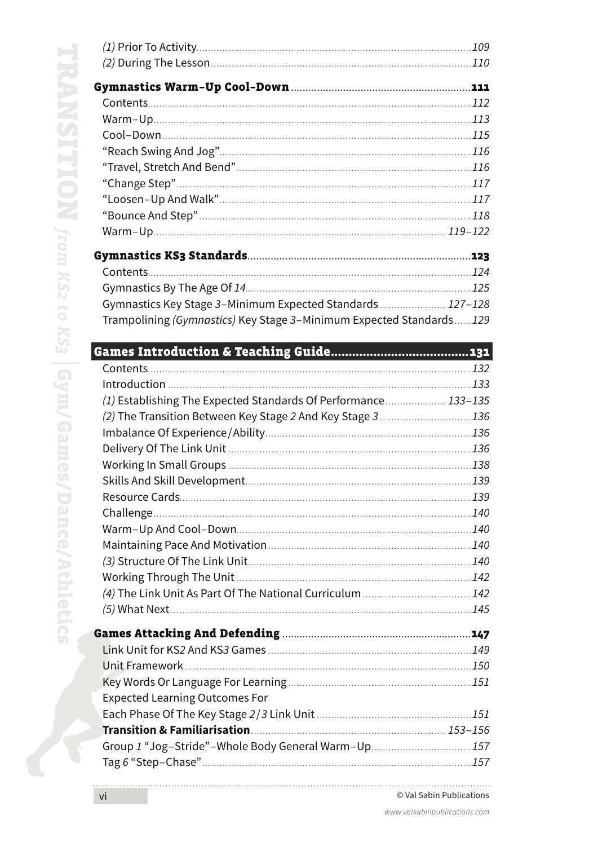K

| Gymnastics Key Stage 3-Minimum Expected Standards 127-128           |  |
|---------------------------------------------------------------------|--|
| Trampolining (Gymnastics) Key Stage 3-Minimum Expected Standards129 |  |
|                                                                     |  |
|                                                                     |  |
|                                                                     |  |
|                                                                     |  |
| (1) Establishing The Expected Standards Of Performance 133-135      |  |
| (2) The Transition Between Key Stage 2 And Key Stage 3  136         |  |
|                                                                     |  |
|                                                                     |  |
|                                                                     |  |
|                                                                     |  |
|                                                                     |  |
|                                                                     |  |
|                                                                     |  |
|                                                                     |  |
|                                                                     |  |
|                                                                     |  |
|                                                                     |  |
|                                                                     |  |
|                                                                     |  |
|                                                                     |  |
|                                                                     |  |
|                                                                     |  |
|                                                                     |  |
|                                                                     |  |
| <b>Expected Learning Outcomes For</b>                               |  |
|                                                                     |  |
|                                                                     |  |
| Group 1 "Jog-Stride"-Whole Body General Warm-Up157                  |  |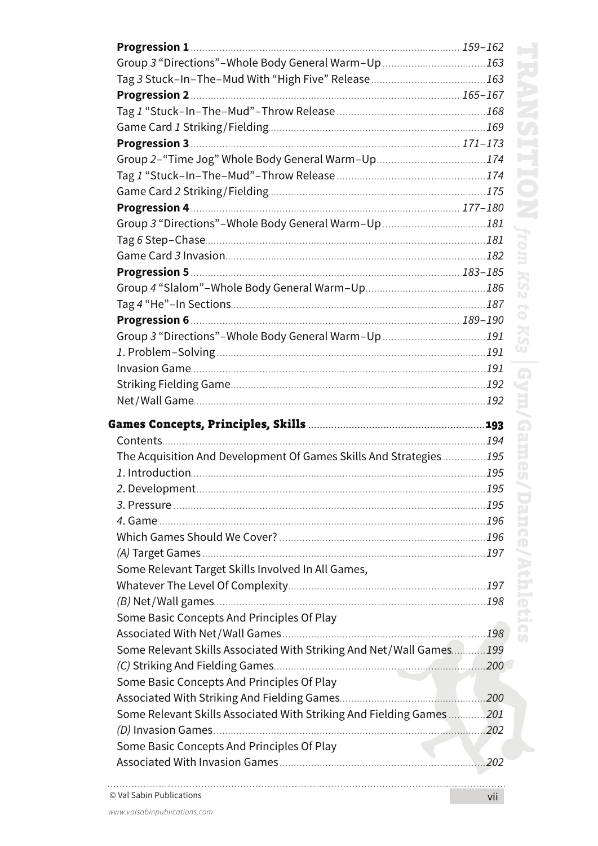| Group 3 "Directions"-Whole Body General Warm-Up 163                 |      |
|---------------------------------------------------------------------|------|
|                                                                     |      |
|                                                                     |      |
|                                                                     |      |
|                                                                     |      |
|                                                                     |      |
| Group 2-"Time Jog" Whole Body General Warm-Up174                    |      |
|                                                                     |      |
|                                                                     |      |
|                                                                     |      |
| Group 3 "Directions"-Whole Body General Warm-Up 181                 |      |
|                                                                     |      |
|                                                                     |      |
|                                                                     |      |
|                                                                     |      |
|                                                                     |      |
|                                                                     |      |
| Group 3 "Directions"-Whole Body General Warm-Up 191                 |      |
|                                                                     |      |
|                                                                     |      |
|                                                                     |      |
|                                                                     |      |
|                                                                     |      |
|                                                                     |      |
| The Acquisition And Development Of Games Skills And Strategies195   |      |
|                                                                     |      |
|                                                                     |      |
|                                                                     |      |
|                                                                     |      |
|                                                                     |      |
|                                                                     |      |
| Some Relevant Target Skills Involved In All Games,                  |      |
|                                                                     |      |
|                                                                     |      |
| Some Basic Concepts And Principles Of Play                          |      |
|                                                                     |      |
| Some Relevant Skills Associated With Striking And Net/Wall Games199 |      |
|                                                                     |      |
| Some Basic Concepts And Principles Of Play                          |      |
|                                                                     |      |
| Some Relevant Skills Associated With Striking And Fielding Games    | .201 |
|                                                                     |      |
| Some Basic Concepts And Principles Of Play                          |      |
|                                                                     | .202 |

. . . . . . . . . .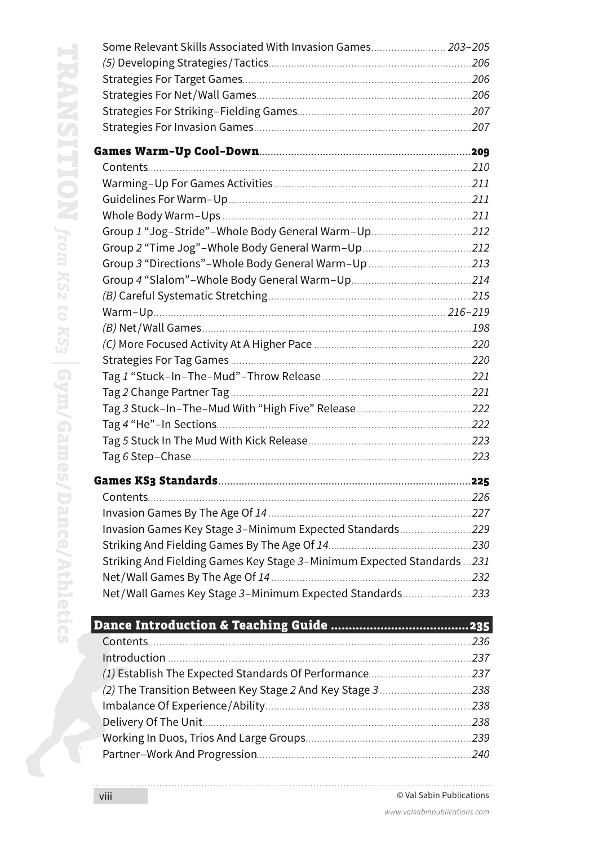| Group 1 "Jog-Stride"-Whole Body General Warm-Up212                      |  |
|-------------------------------------------------------------------------|--|
|                                                                         |  |
| Group 3 "Directions"-Whole Body General Warm-Up 213                     |  |
|                                                                         |  |
|                                                                         |  |
|                                                                         |  |
|                                                                         |  |
|                                                                         |  |
|                                                                         |  |
|                                                                         |  |
|                                                                         |  |
|                                                                         |  |
|                                                                         |  |
|                                                                         |  |
|                                                                         |  |
|                                                                         |  |
|                                                                         |  |
|                                                                         |  |
| Invasion Games Key Stage 3-Minimum Expected Standards229                |  |
|                                                                         |  |
| Striking And Fielding Games Key Stage 3-Minimum Expected Standards  231 |  |
|                                                                         |  |
| Net/Wall Games Key Stage 3-Minimum Expected Standards233                |  |
|                                                                         |  |
|                                                                         |  |
|                                                                         |  |
|                                                                         |  |
| (2) The Transition Between Key Stage 2 And Key Stage 3 238              |  |
|                                                                         |  |
|                                                                         |  |
|                                                                         |  |
|                                                                         |  |

Partner–Work And Progression*...........................................................................240*

Some Relevant Skills Associated With Invasion Games*.......................... 203*–*205*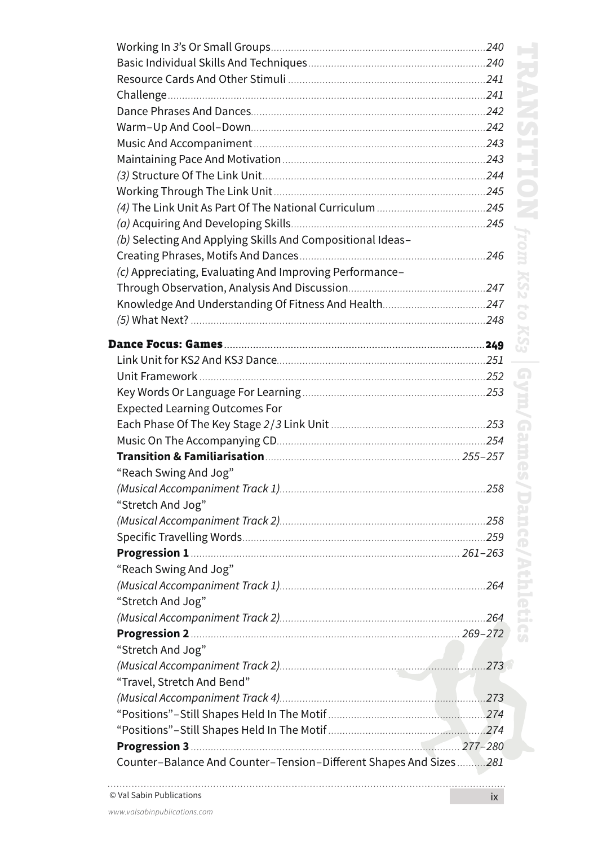| (b) Selecting And Applying Skills And Compositional Ideas-        |      |
|-------------------------------------------------------------------|------|
|                                                                   |      |
| (c) Appreciating, Evaluating And Improving Performance-           |      |
|                                                                   |      |
|                                                                   |      |
|                                                                   |      |
|                                                                   |      |
|                                                                   |      |
|                                                                   |      |
|                                                                   |      |
| <b>Expected Learning Outcomes For</b>                             |      |
|                                                                   |      |
|                                                                   |      |
|                                                                   |      |
| "Reach Swing And Jog"                                             |      |
|                                                                   |      |
| "Stretch And Jog"                                                 |      |
|                                                                   |      |
|                                                                   |      |
|                                                                   |      |
| "Reach Swing And Jog"                                             |      |
|                                                                   |      |
| "Stretch And Jog"                                                 |      |
|                                                                   |      |
| "Stretch And Jog"                                                 |      |
|                                                                   | .273 |
| "Travel, Stretch And Bend"                                        |      |
|                                                                   |      |
|                                                                   |      |
|                                                                   |      |
|                                                                   |      |
| Counter-Balance And Counter-Tension-Different Shapes And Sizes281 |      |
|                                                                   |      |

. . . . . . . . .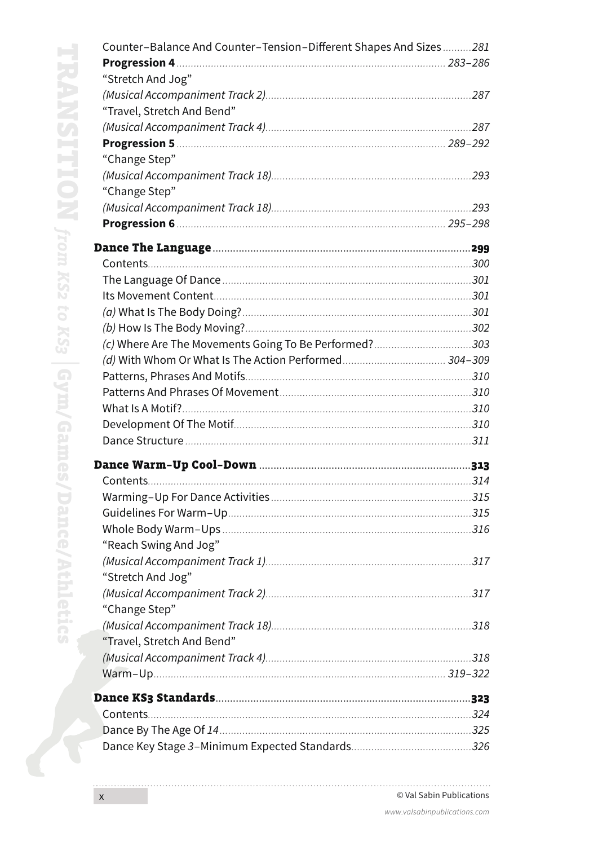| Counter-Balance And Counter-Tension-Different Shapes And Sizes281 |  |
|-------------------------------------------------------------------|--|
|                                                                   |  |
| "Stretch And Jog"                                                 |  |
|                                                                   |  |
| "Travel, Stretch And Bend"                                        |  |
|                                                                   |  |
|                                                                   |  |
| "Change Step"                                                     |  |
|                                                                   |  |
| "Change Step"                                                     |  |
|                                                                   |  |
|                                                                   |  |
|                                                                   |  |
|                                                                   |  |
|                                                                   |  |
|                                                                   |  |
|                                                                   |  |
|                                                                   |  |
| (c) Where Are The Movements Going To Be Performed?303             |  |
|                                                                   |  |
|                                                                   |  |
|                                                                   |  |
|                                                                   |  |
|                                                                   |  |
|                                                                   |  |
|                                                                   |  |
|                                                                   |  |
|                                                                   |  |
|                                                                   |  |
|                                                                   |  |
| "Reach Swing And Jog"                                             |  |
|                                                                   |  |
| "Stretch And Jog"                                                 |  |
|                                                                   |  |
| "Change Step"                                                     |  |
|                                                                   |  |
| "Travel, Stretch And Bend"                                        |  |
|                                                                   |  |
|                                                                   |  |
|                                                                   |  |
|                                                                   |  |
|                                                                   |  |
|                                                                   |  |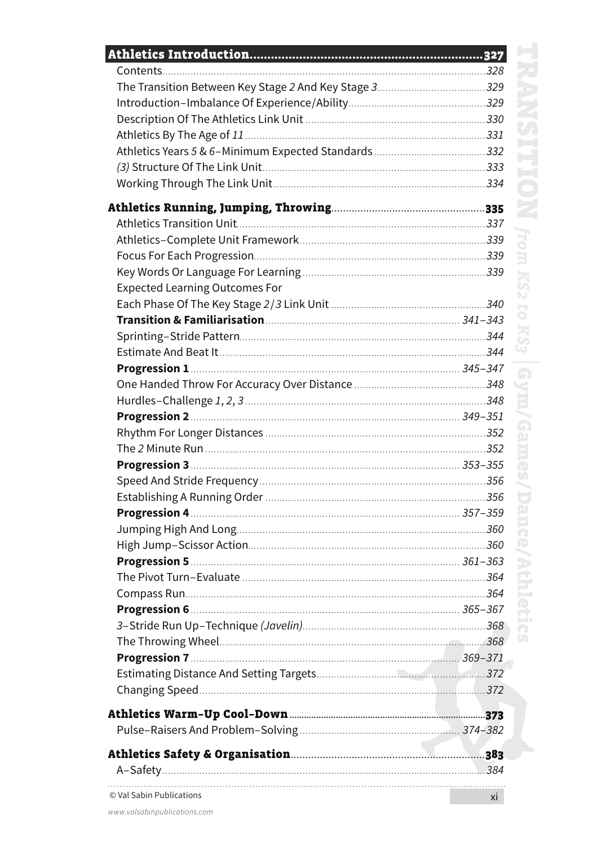| <b>Expected Learning Outcomes For</b> |    |
|---------------------------------------|----|
|                                       |    |
|                                       |    |
|                                       |    |
|                                       |    |
|                                       |    |
|                                       |    |
|                                       |    |
|                                       |    |
|                                       |    |
|                                       |    |
|                                       |    |
|                                       |    |
|                                       |    |
|                                       |    |
|                                       |    |
|                                       |    |
|                                       |    |
|                                       |    |
|                                       |    |
|                                       |    |
|                                       |    |
|                                       |    |
|                                       |    |
|                                       |    |
|                                       |    |
|                                       |    |
|                                       |    |
|                                       |    |
|                                       |    |
| © Val Sabin Publications              | xi |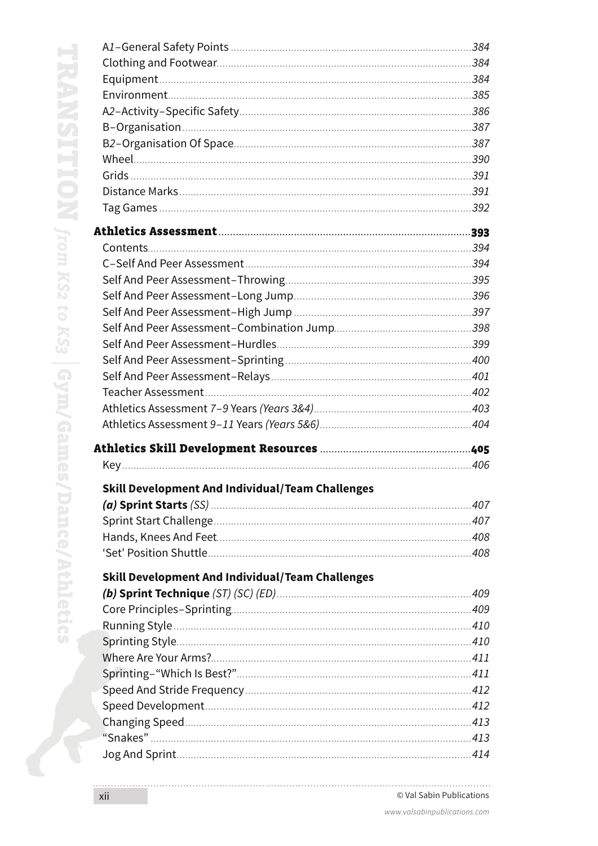| Skill Development And Individual/Team Challenges        |  |
|---------------------------------------------------------|--|
|                                                         |  |
|                                                         |  |
|                                                         |  |
|                                                         |  |
| <b>Skill Development And Individual/Team Challenges</b> |  |
|                                                         |  |
|                                                         |  |
|                                                         |  |
|                                                         |  |
|                                                         |  |
|                                                         |  |
|                                                         |  |
|                                                         |  |
|                                                         |  |
|                                                         |  |
|                                                         |  |

. . . . . . . . .

F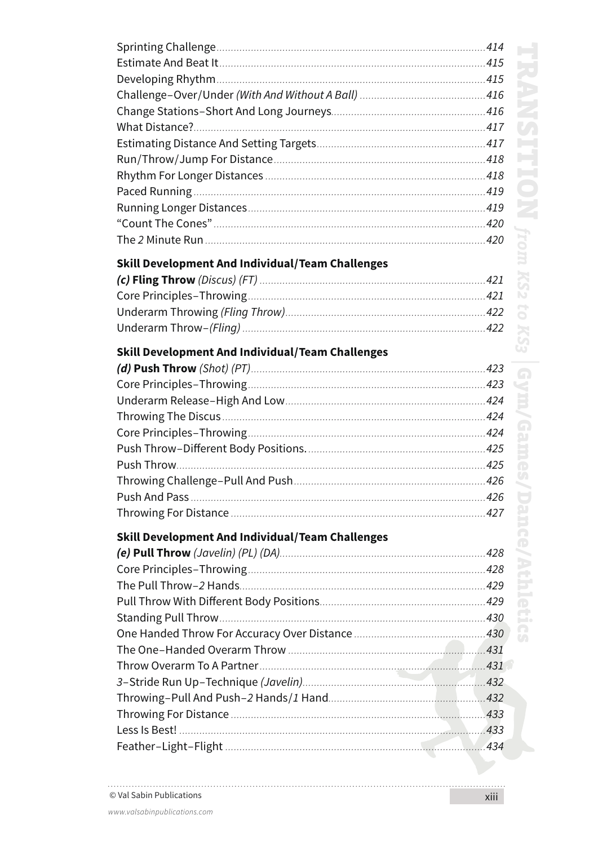| <b>Skill Development And Individual/Team Challenges</b> |  |
|---------------------------------------------------------|--|
|                                                         |  |
|                                                         |  |
|                                                         |  |
|                                                         |  |
|                                                         |  |
| Skill Development And Individual/Team Challenges        |  |
|                                                         |  |
|                                                         |  |
|                                                         |  |
|                                                         |  |
|                                                         |  |
|                                                         |  |
|                                                         |  |
|                                                         |  |
|                                                         |  |
|                                                         |  |
| <b>Skill Development And Individual/Team Challenges</b> |  |
|                                                         |  |
|                                                         |  |
|                                                         |  |
|                                                         |  |
|                                                         |  |
|                                                         |  |
|                                                         |  |
|                                                         |  |
|                                                         |  |
|                                                         |  |
|                                                         |  |
|                                                         |  |
|                                                         |  |

. . . . . . . . . . . . . . . . .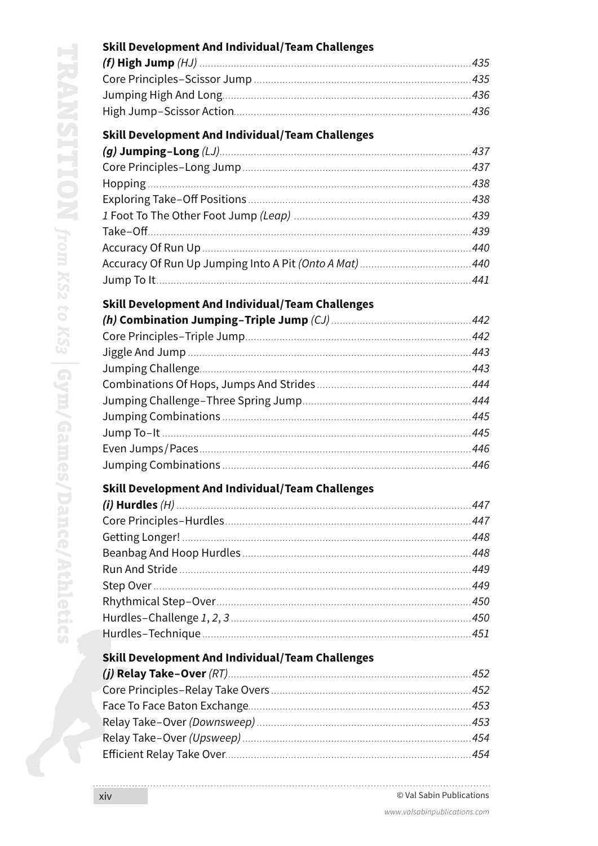| <b>Skill Development And Individual/Team Challenges</b> |     |
|---------------------------------------------------------|-----|
|                                                         |     |
|                                                         |     |
|                                                         |     |
|                                                         |     |
| <b>Skill Development And Individual/Team Challenges</b> |     |
| (a) lumning $ $ ong $( $ $ )$                           | A37 |

### **Skill Development And Individual/Team Challenges**

### **Skill Development And Individual/Team Challenges**

### Skill Development And Individual/Team Challenges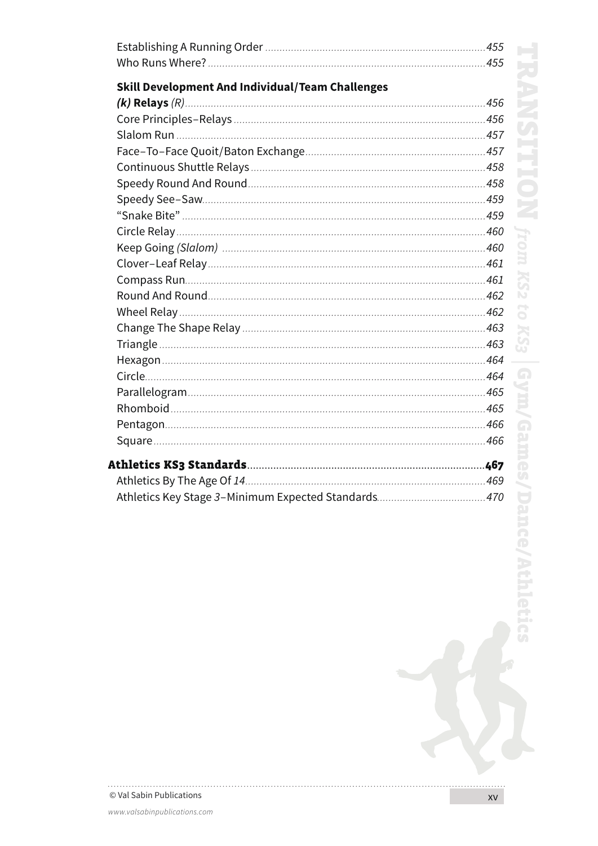| <b>Skill Development And Individual/Team Challenges</b> |  |
|---------------------------------------------------------|--|
|                                                         |  |
|                                                         |  |
|                                                         |  |
|                                                         |  |
|                                                         |  |
|                                                         |  |
|                                                         |  |
|                                                         |  |
|                                                         |  |
|                                                         |  |
|                                                         |  |
|                                                         |  |
|                                                         |  |
|                                                         |  |
|                                                         |  |
|                                                         |  |
|                                                         |  |
|                                                         |  |
|                                                         |  |
|                                                         |  |
|                                                         |  |
|                                                         |  |
|                                                         |  |
|                                                         |  |
|                                                         |  |

© Val Sabin Publications

. . . . . . . . .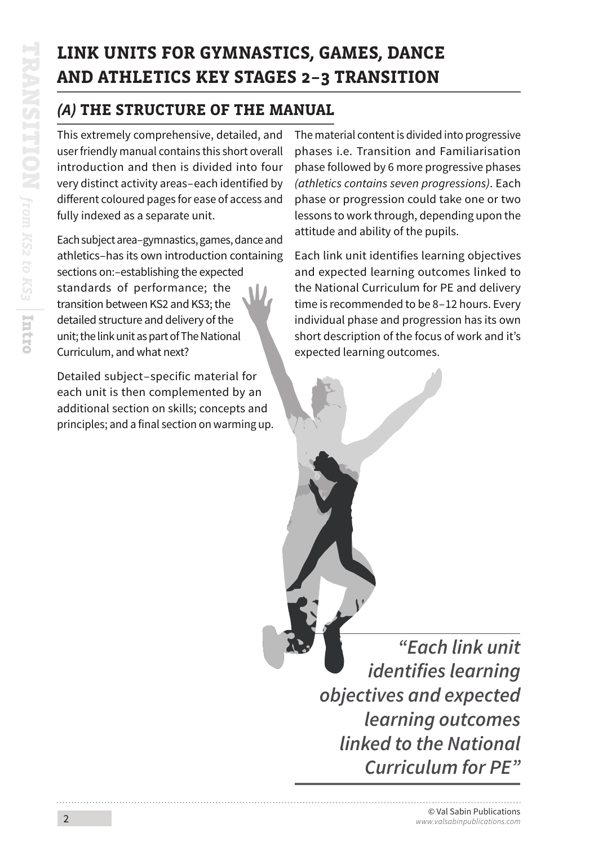# **LINK UNITS FOR GYMNASTICS, GAMES, DANCE AND ATHLETICS KEY STAGES 2–3 TRANSITION**

## *(A)* **THE STRUCTURE OF THE MANUAL**

This extremely comprehensive, detailed, and user friendly manual contains this short overall introduction and then is divided into four very distinct activity areas–each identified by different coloured pages for ease of access and fully indexed as a separate unit.

Each subject area–gymnastics, games, dance and athletics–has its own introduction containing sections on:–establishing the expected standards of performance; the transition between KS2 and KS3; the detailed structure and delivery of the unit; the link unit as part of The National Curriculum, and what next?

Detailed subject–specific material for each unit is then complemented by an additional section on skills; concepts and principles; and a final section on warming up. The material content is divided into progressive phases i.e. Transition and Familiarisation phase followed by 6 more progressive phases *(athletics contains seven progressions)*. Each phase or progression could take one or two lessons to work through, depending upon the attitude and ability of the pupils.

Each link unit identifies learning objectives and expected learning outcomes linked to the National Curriculum for PE and delivery time is recommended to be 8–12 hours. Every individual phase and progression has its own short description of the focus of work and it's expected learning outcomes.

*"Each link unit identifies learning objectives and expected learning outcomes linked to the National Curriculum for PE"*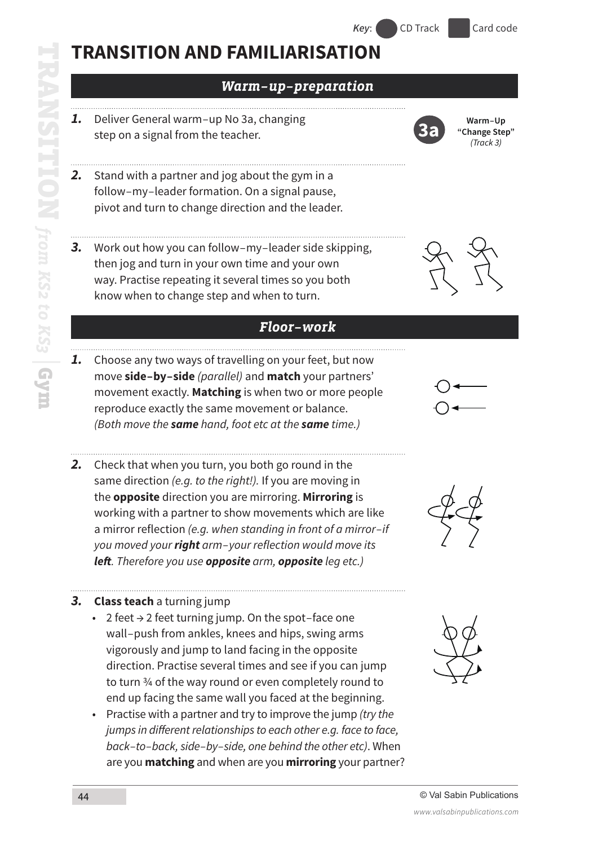### *Warm–up–preparation*

- *1.* Deliver General warm–up No 3a, changing step on a signal from the teacher.
- *2.* Stand with a partner and jog about the gym in a follow–my–leader formation. On a signal pause, pivot and turn to change direction and the leader.
- *3.* Work out how you can follow–my–leader side skipping, then jog and turn in your own time and your own way. Practise repeating it several times so you both know when to change step and when to turn.

#### *Floor–work*

- *1.* Choose any two ways of travelling on your feet, but now move **side–by–side** *(parallel)* and **match** your partners' movement exactly. **Matching** is when two or more people reproduce exactly the same movement or balance. *(Both move the same hand, foot etc at the same time.)*
- *2.* Check that when you turn, you both go round in the same direction *(e.g. to the right!).* If you are moving in the **opposite** direction you are mirroring. **Mirroring** is working with a partner to show movements which are like a mirror reflection *(e.g. when standing in front of a mirror–if you moved your right arm–your reflection would move its left. Therefore you use opposite arm, opposite leg etc.)*

#### *3.* **Class teach** a turning jump

- 2 feet  $\rightarrow$  2 feet turning jump. On the spot–face one wall–push from ankles, knees and hips, swing arms vigorously and jump to land facing in the opposite direction. Practise several times and see if you can jump to turn ¾ of the way round or even completely round to end up facing the same wall you faced at the beginning.
- Practise with a partner and try to improve the jump *(try the jumps in different relationships to each other e.g. face to face, back–to–back, side–by–side, one behind the other etc)*. When are you **matching** and when are you **mirroring** your partner?







**3a Warm–Up "Change Step"**

*(Track 3)*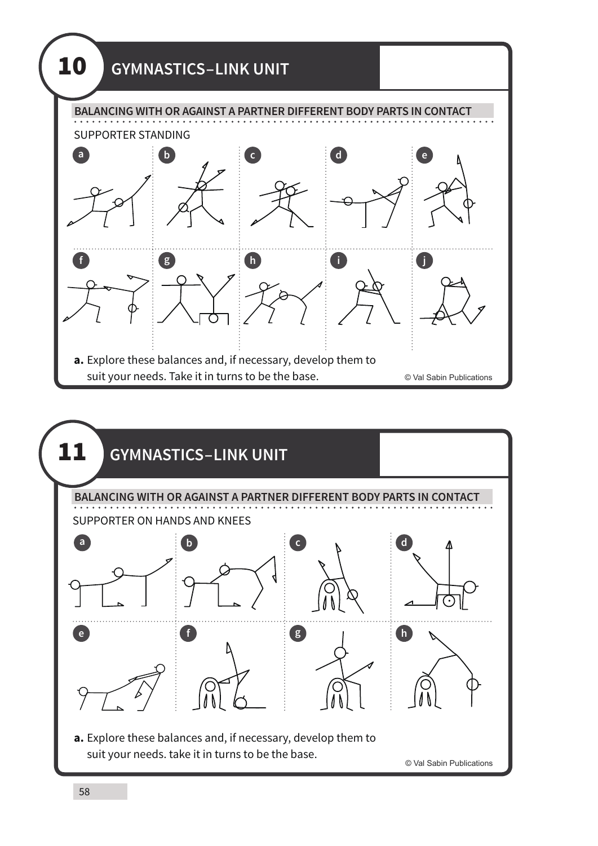

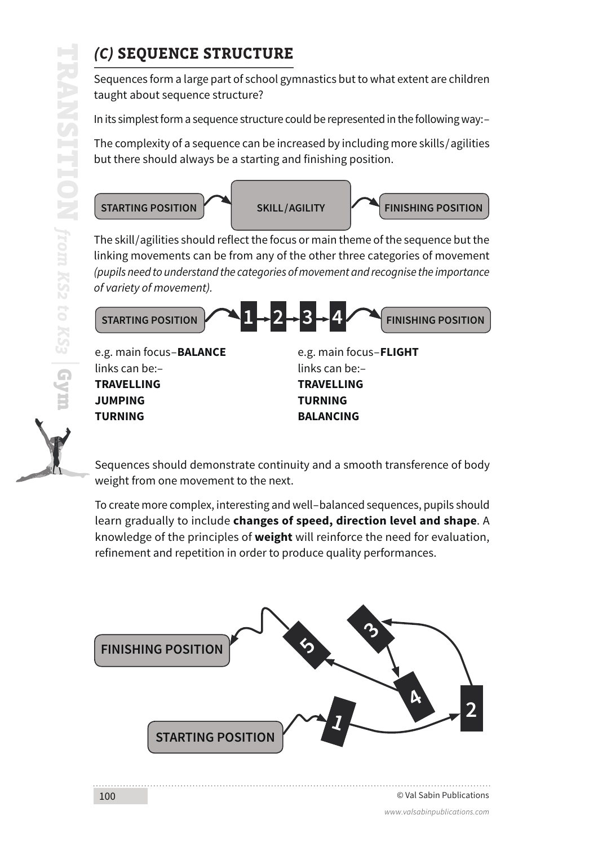**TURNING**

## *(C)* **SEQUENCE STRUCTURE**

Sequences form a large part of school gymnastics but to what extent are children taught about sequence structure?

In its simplest form a sequence structure could be represented in the following way:–

The complexity of a sequence can be increased by including more skills / agilities but there should always be a starting and finishing position.



The skill/agilities should reflect the focus or main theme of the sequence but the linking movements can be from any of the other three categories of movement *(pupils need to understand the categories of movement and recognise the importance of variety of movement).*



Sequences should demonstrate continuity and a smooth transference of body weight from one movement to the next.

**BALANCING**

To create more complex, interesting and well–balanced sequences, pupils should learn gradually to include **changes of speed, direction level and shape**. A knowledge of the principles of **weight** will reinforce the need for evaluation, refinement and repetition in order to produce quality performances.

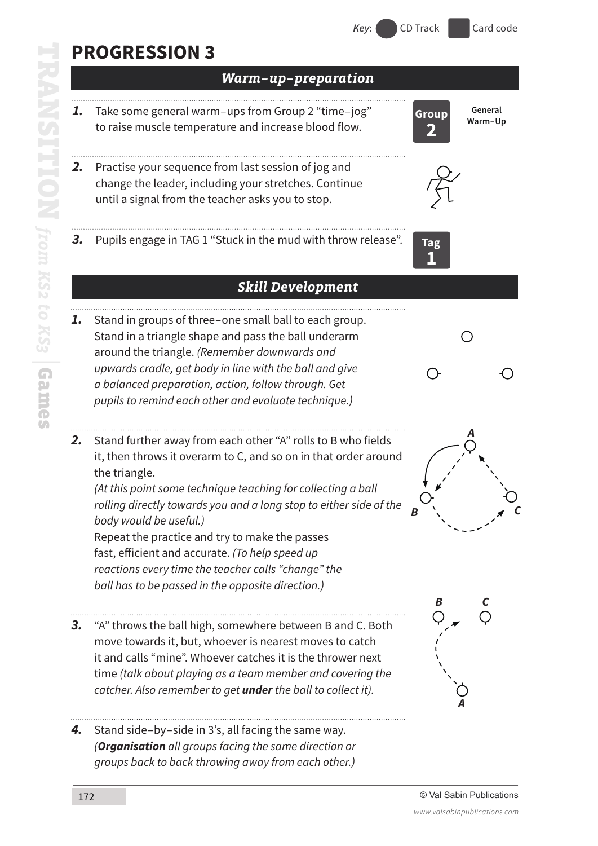# **PROGRESSION 3**

*Warm–up–preparation 1.* Take some general warm–ups from Group 2 "time–jog" **General Group Warm–Up** to raise muscle temperature and increase blood flow. **2** *2.* Practise your sequence from last session of jog and change the leader, including your stretches. Continue until a signal from the teacher asks you to stop. *3.* Pupils engage in TAG 1 "Stuck in the mud with throw release". **Tag 1** *Skill Development 1.* Stand in groups of three–one small ball to each group. Stand in a triangle shape and pass the ball underarm  $\bigcirc$ around the triangle. *(Remember downwards and upwards cradle, get body in line with the ball and give a balanced preparation, action, follow through. Get pupils to remind each other and evaluate technique.) A 2.* Stand further away from each other "A" rolls to B who fields it, then throws it overarm to C, and so on in that order around the triangle. *(At this point some technique teaching for collecting a ball rolling directly towards you and a long stop to either side of the body would be useful.)* Repeat the practice and try to make the passes fast, efficient and accurate. *(To help speed up reactions every time the teacher calls "change" the ball has to be passed in the opposite direction.) B C 3.* "A" throws the ball high, somewhere between B and C. Both move towards it, but, whoever is nearest moves to catch it and calls "mine". Whoever catches it is the thrower next time *(talk about playing as a team member and covering the catcher. Also remember to get under the ball to collect it). A4.* Stand side–by–side in 3's, all facing the same way. *(Organisation all groups facing the same direction or groups back to back throwing away from each other.)*

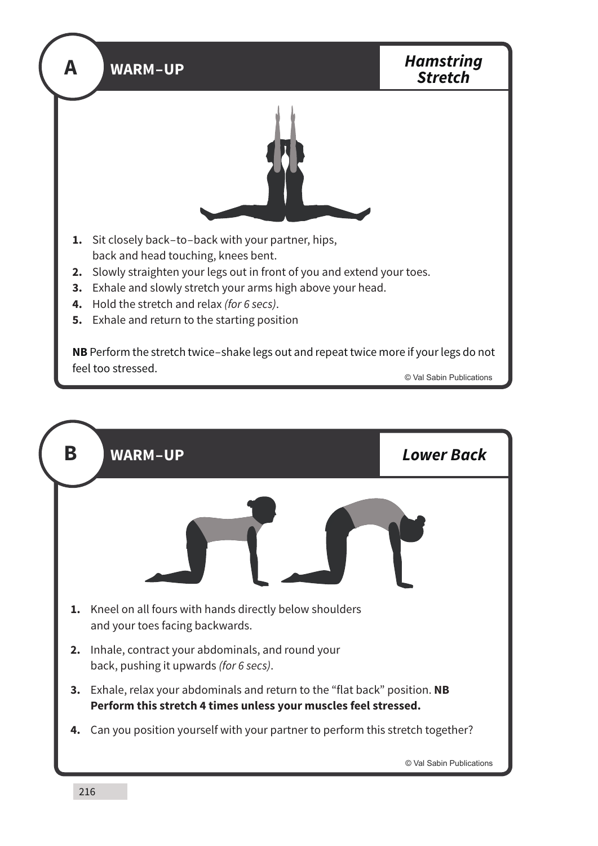

| B  | <b>WARM-UP</b>                                                                                                                              | <b>Lower Back</b>        |
|----|---------------------------------------------------------------------------------------------------------------------------------------------|--------------------------|
|    |                                                                                                                                             |                          |
| 1. | Kneel on all fours with hands directly below shoulders<br>and your toes facing backwards.                                                   |                          |
| 2. | Inhale, contract your abdominals, and round your<br>back, pushing it upwards (for 6 secs).                                                  |                          |
| 3. | Exhale, relax your abdominals and return to the "flat back" position. NB<br>Perform this stretch 4 times unless your muscles feel stressed. |                          |
| 4. | Can you position yourself with your partner to perform this stretch together?                                                               |                          |
|    |                                                                                                                                             | © Val Sabin Publications |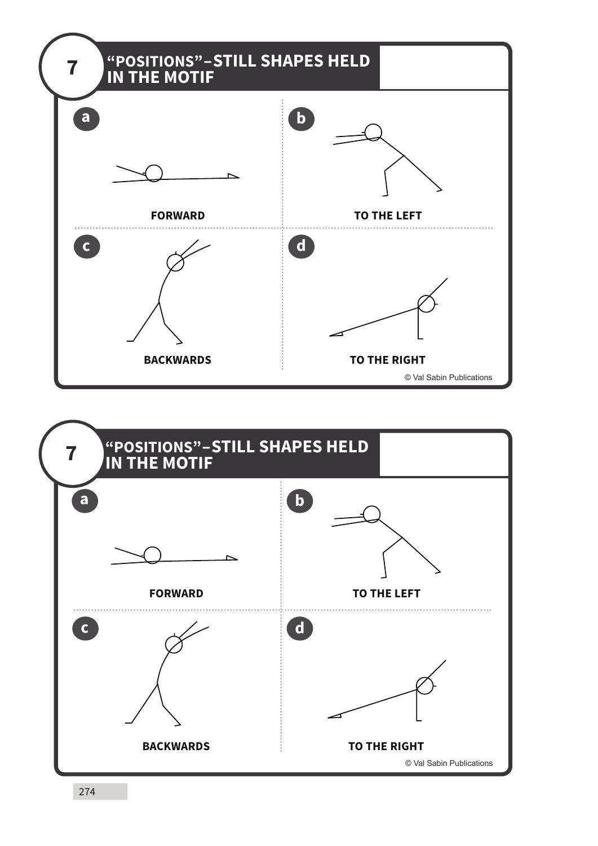

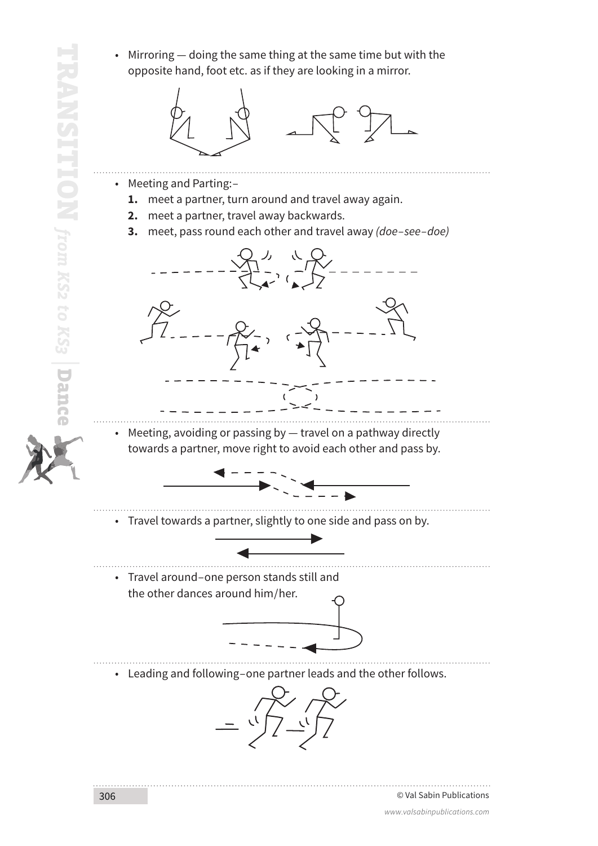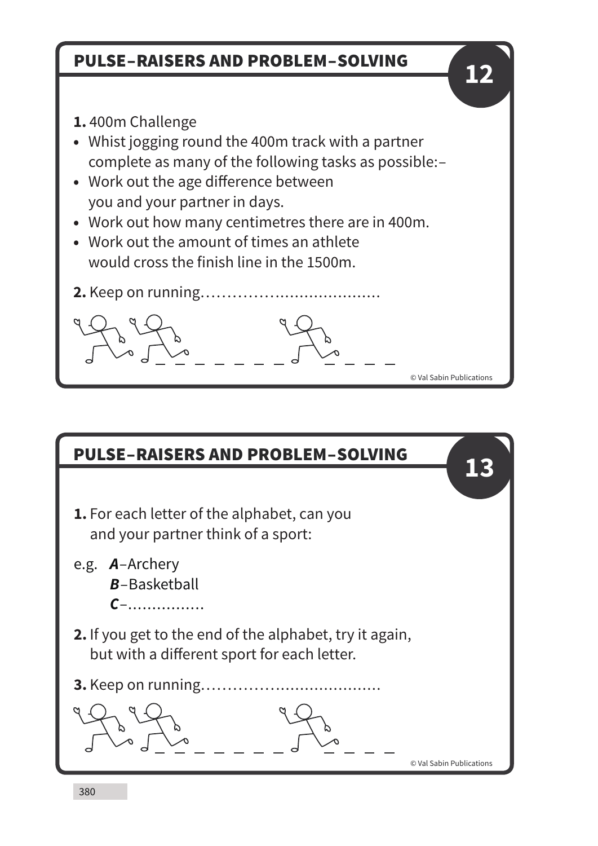## PULSE–RAISERS AND PROBLEM–SOLVING

- **1.** 400m Challenge
- Whist jogging round the 400m track with a partner complete as many of the following tasks as possible:–
- Work out the age difference between you and your partner in days.
- Work out how many centimetres there are in 400m.
- Work out the amount of times an athlete would cross the finish line in the 1500m.
- **2.** Keep on running…………….....................

# PULSE–RAISERS AND PROBLEM–SOLVING

- **1.** For each letter of the alphabet, can you and your partner think of a sport:
- e.g. *A*–Archery *B*–Basketball *C*–................
- **2.** If you get to the end of the alphabet, try it again, but with a different sport for each letter.
- **3.** Keep on running…………….....................

© Val Sabin Publications

**13**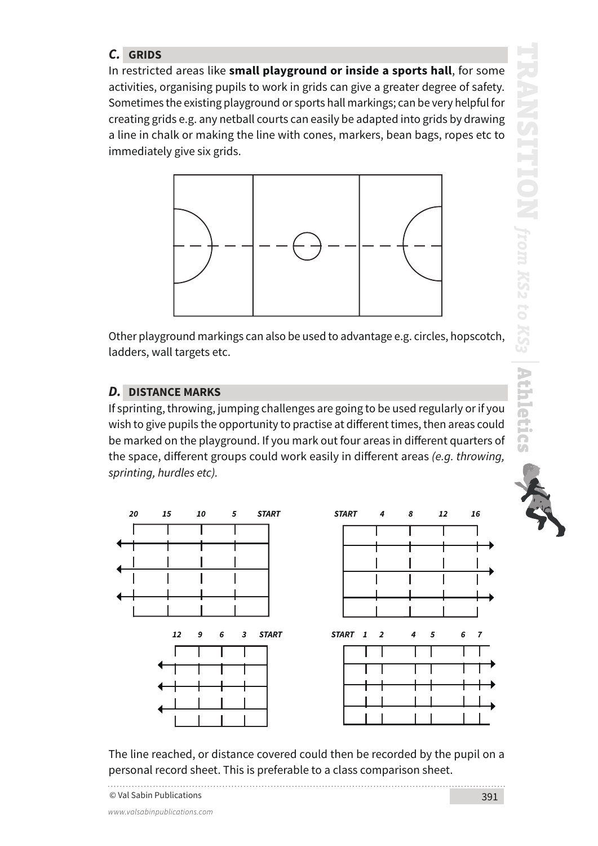### *C.* **GRIDS**

In restricted areas like **small playground or inside a sports hall**, for some activities, organising pupils to work in grids can give a greater degree of safety. Sometimes the existing playground or sports hall markings; can be very helpful for creating grids e.g. any netball courts can easily be adapted into grids by drawing a line in chalk or making the line with cones, markers, bean bags, ropes etc to immediately give six grids.



Other playground markings can also be used to advantage e.g. circles, hopscotch, ladders, wall targets etc.

#### *D.* **DISTANCE MARKS**

If sprinting, throwing, jumping challenges are going to be used regularly or if you wish to give pupils the opportunity to practise at different times, then areas could be marked on the playground. If you mark out four areas in different quarters of the space, different groups could work easily in different areas *(e.g. throwing, sprinting, hurdles etc).*





The line reached, or distance covered could then be recorded by the pupil on a personal record sheet. This is preferable to a class comparison sheet.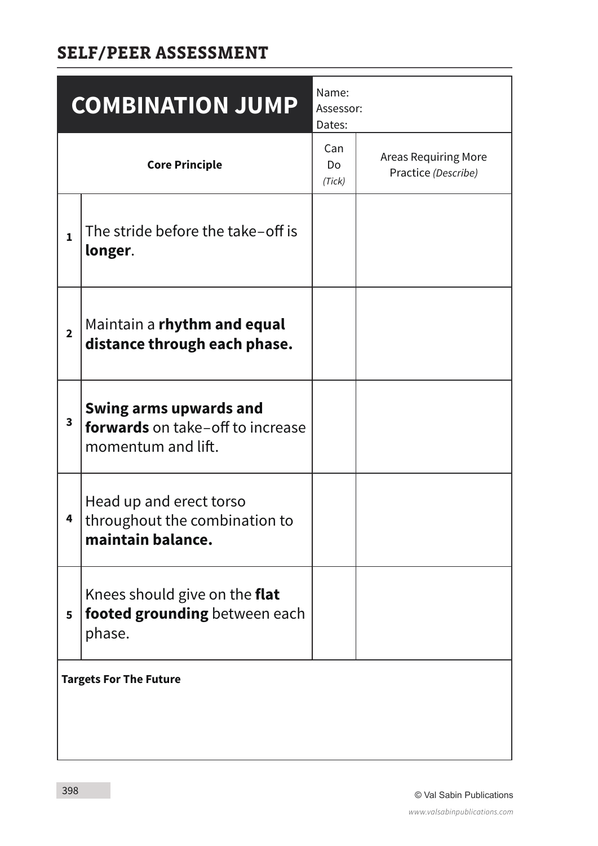## **SELF/PEER ASSESSMENT**

|                               | <b>COMBINATION JUMP</b>                                                                        | Name:<br>Assessor:<br>Dates: |                                                    |
|-------------------------------|------------------------------------------------------------------------------------------------|------------------------------|----------------------------------------------------|
|                               | <b>Core Principle</b>                                                                          | Can<br>Do<br>(Tick)          | <b>Areas Requiring More</b><br>Practice (Describe) |
| $\mathbf{1}$                  | The stride before the take-off is<br>longer.                                                   |                              |                                                    |
| $\overline{2}$                | Maintain a rhythm and equal<br>distance through each phase.                                    |                              |                                                    |
| 3                             | <b>Swing arms upwards and</b><br><b>forwards</b> on take-off to increase<br>momentum and lift. |                              |                                                    |
| 4                             | Head up and erect torso<br>throughout the combination to<br>maintain balance.                  |                              |                                                    |
| 5                             | Knees should give on the <b>flat</b><br>footed grounding between each<br>phase.                |                              |                                                    |
| <b>Targets For The Future</b> |                                                                                                |                              |                                                    |
|                               |                                                                                                |                              |                                                    |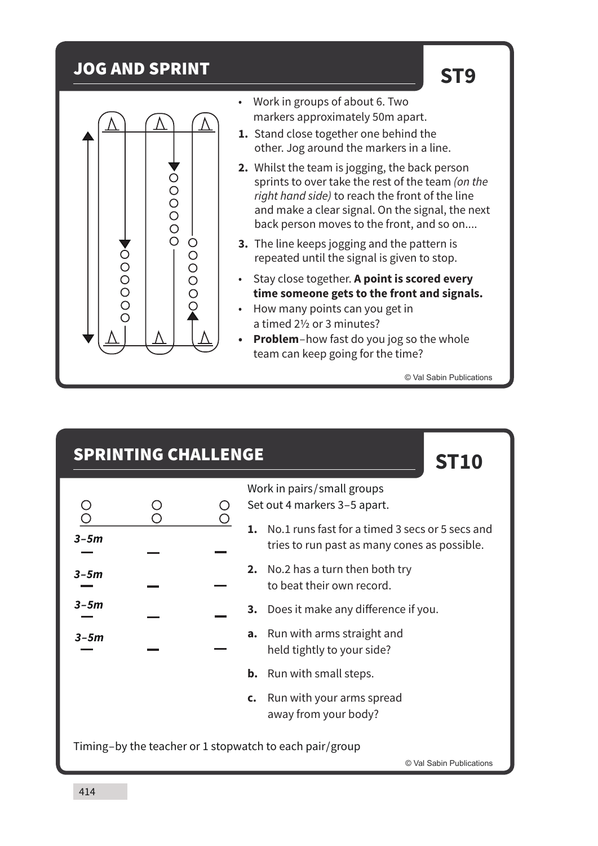### JOG AND SPRINT





- Work in groups of about 6. Two markers approximately 50m apart.
- **1.** Stand close together one behind the other. Jog around the markers in a line.
- **2.** Whilst the team is jogging, the back person sprints to over take the rest of the team *(on the right hand side)* to reach the front of the line and make a clear signal. On the signal, the next back person moves to the front, and so on....
- **3.** The line keeps jogging and the pattern is repeated until the signal is given to stop.
- Stay close together. **A point is scored every time someone gets to the front and signals.**
- How many points can you get in a timed 2½ or 3 minutes?
- **• Problem**–how fast do you jog so the whole team can keep going for the time?

© Val Sabin Publications

**ST10**

### SPRINTING CHALLENGE

| $\begin{array}{c} \bigcirc \\ \bigcirc \end{array}$ | $\frac{\textcircled{\textcirc}}{\textcircled{\textcirc}}$ | $\frac{0}{0}$ |
|-----------------------------------------------------|-----------------------------------------------------------|---------------|
| $3 - 5m$                                            |                                                           |               |
| $3 - 5m$                                            |                                                           |               |
| $3 - 5m$<br>__                                      |                                                           |               |
| $3 - 5m$<br>ست                                      |                                                           |               |
|                                                     |                                                           |               |
|                                                     |                                                           |               |

Work in pairs / small groups Set out 4 markers 3–5 apart.

- **1.** No.1 runs fast for a timed 3 secs or 5 secs and tries to run past as many cones as possible.
- **2.** No.2 has a turn then both try to beat their own record.
- **3.** Does it make any difference if you.
- **a.** Run with arms straight and held tightly to your side?
- **b.** Run with small steps.
- **c.** Run with your arms spread away from your body?

Timing–by the teacher or 1 stopwatch to each pair/group

© Val Sabin Publications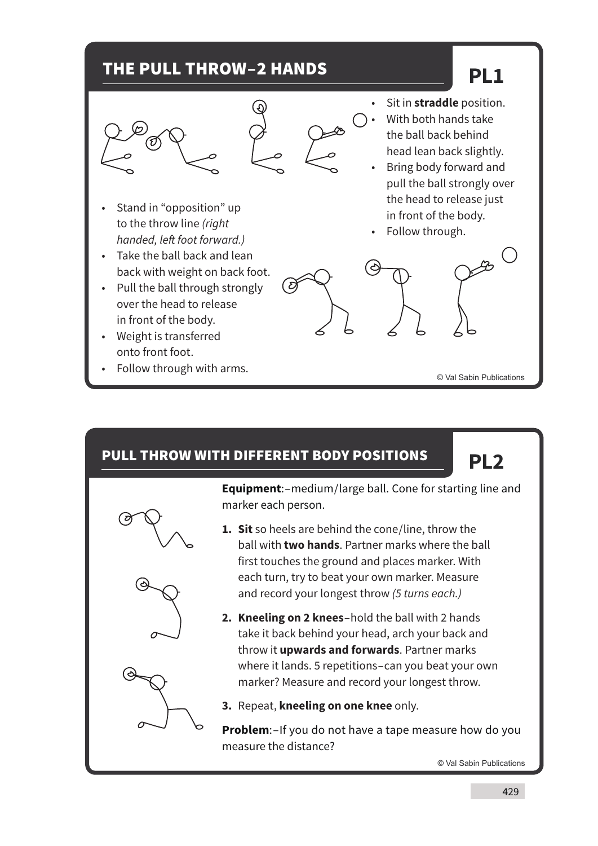## THE PULL THROW–2 HANDS

# **PL1**



( ව

- Sit in **straddle** position. • With both hands take the ball back behind head lean back slightly.
- Bring body forward and pull the ball strongly over the head to release just in front of the body.
- Follow through.
- Stand in "opposition" up to the throw line *(right handed, left foot forward.)*
- Take the ball back and lean back with weight on back foot.
- Pull the ball through strongly over the head to release in front of the body.
- Weight is transferred onto front foot.
- Follow through with arms.

### PULL THROW WITH DIFFERENT BODY POSITIONS

**PL2**

© Val Sabin Publications



**Equipment**:–medium/large ball. Cone for starting line and marker each person.

- **1. Sit** so heels are behind the cone/line, throw the ball with **two hands**. Partner marks where the ball first touches the ground and places marker. With each turn, try to beat your own marker. Measure and record your longest throw *(5 turns each.)*
- **2. Kneeling on 2 knees**–hold the ball with 2 hands take it back behind your head, arch your back and throw it **upwards and forwards**. Partner marks where it lands. 5 repetitions–can you beat your own marker? Measure and record your longest throw.

**3.** Repeat, **kneeling on one knee** only.

**Problem**:–If you do not have a tape measure how do you measure the distance?

© Val Sabin Publications